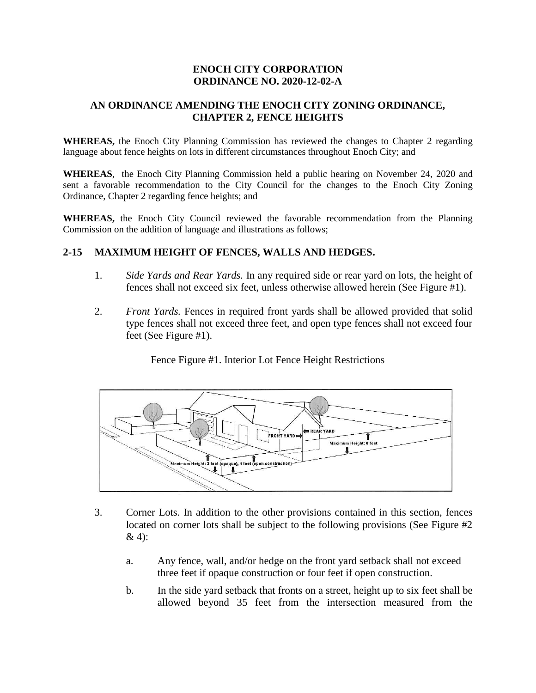# **ENOCH CITY CORPORATION ORDINANCE NO. 2020-12-02-A**

# **AN ORDINANCE AMENDING THE ENOCH CITY ZONING ORDINANCE, CHAPTER 2, FENCE HEIGHTS**

**WHEREAS,** the Enoch City Planning Commission has reviewed the changes to Chapter 2 regarding language about fence heights on lots in different circumstances throughout Enoch City; and

**WHEREAS**, the Enoch City Planning Commission held a public hearing on November 24, 2020 and sent a favorable recommendation to the City Council for the changes to the Enoch City Zoning Ordinance, Chapter 2 regarding fence heights; and

**WHEREAS,** the Enoch City Council reviewed the favorable recommendation from the Planning Commission on the addition of language and illustrations as follows;

### **2-15 MAXIMUM HEIGHT OF FENCES, WALLS AND HEDGES.**

- 1. *Side Yards and Rear Yards.* In any required side or rear yard on lots, the height of fences shall not exceed six feet, unless otherwise allowed herein (See Figure #1).
- 2. *Front Yards.* Fences in required front yards shall be allowed provided that solid type fences shall not exceed three feet, and open type fences shall not exceed four feet (See Figure #1).

Fence Figure #1. Interior Lot Fence Height Restrictions



- 3. Corner Lots. In addition to the other provisions contained in this section, fences located on corner lots shall be subject to the following provisions (See Figure #2 & 4):
	- a. Any fence, wall, and/or hedge on the front yard setback shall not exceed three feet if opaque construction or four feet if open construction.
	- b. In the side yard setback that fronts on a street, height up to six feet shall be allowed beyond 35 feet from the intersection measured from the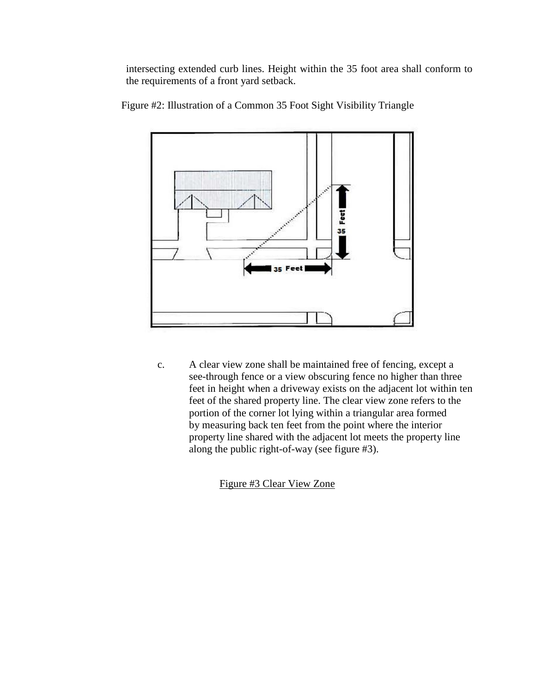intersecting extended curb lines. Height within the 35 foot area shall conform to the requirements of a front yard setback.



Figure #2: Illustration of a Common 35 Foot Sight Visibility Triangle

c. A clear view zone shall be maintained free of fencing, except a see-through fence or a view obscuring fence no higher than three feet in height when a driveway exists on the adjacent lot within ten feet of the shared property line. The clear view zone refers to the portion of the corner lot lying within a triangular area formed by measuring back ten feet from the point where the interior property line shared with the adjacent lot meets the property line along the public right-of-way (see figure #3).

Figure #3 Clear View Zone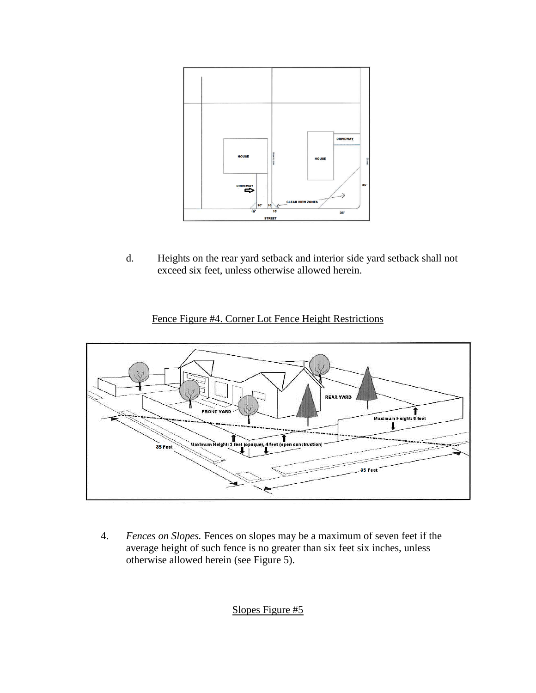

d. Heights on the rear yard setback and interior side yard setback shall not exceed six feet, unless otherwise allowed herein.

# Fence Figure #4. Corner Lot Fence Height Restrictions



4. *Fences on Slopes.* Fences on slopes may be a maximum of seven feet if the average height of such fence is no greater than six feet six inches, unless otherwise allowed herein (see Figure 5).

Slopes Figure #5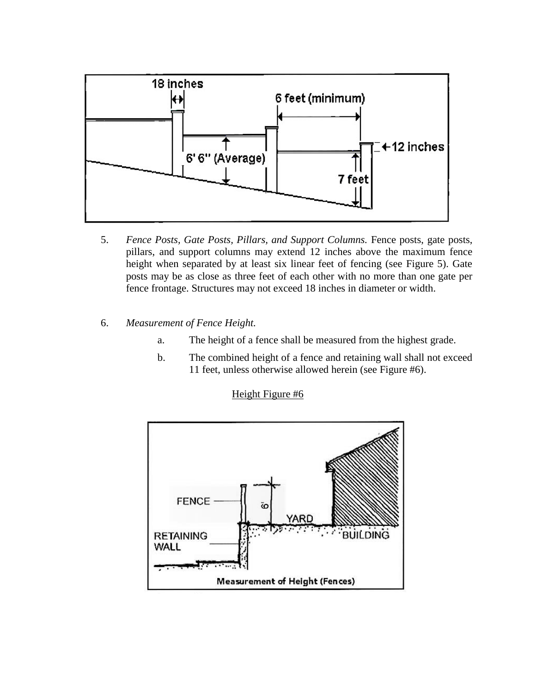

- 5. *Fence Posts, Gate Posts, Pillars, and Support Columns.* Fence posts, gate posts, pillars, and support columns may extend 12 inches above the maximum fence height when separated by at least six linear feet of fencing (see Figure 5). Gate posts may be as close as three feet of each other with no more than one gate per fence frontage. Structures may not exceed 18 inches in diameter or width.
- 6. *Measurement of Fence Height.*
	- a. The height of a fence shall be measured from the highest grade.
	- b. The combined height of a fence and retaining wall shall not exceed 11 feet, unless otherwise allowed herein (see Figure #6).



Height Figure #6